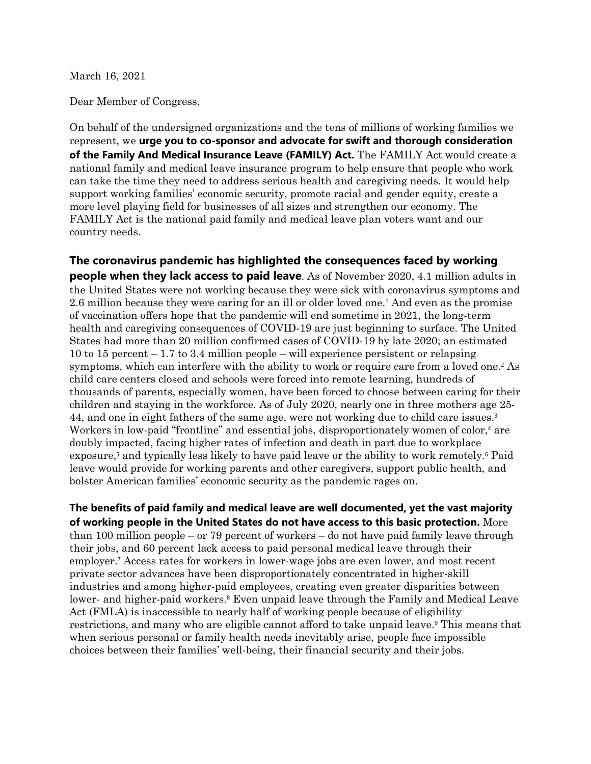March 16, 2021

Dear Member of Congress,

On behalf of the undersigned organizations and the tens of millions of working families we represent, we **urge you to co-sponsor and advocate for swift and thorough consideration of the Family And Medical Insurance Leave (FAMILY) Act.** The FAMILY Act would create a national family and medical leave insurance program to help ensure that people who work can take the time they need to address serious health and caregiving needs. It would help support working families' economic security, promote racial and gender equity, create a more level playing field for businesses of all sizes and strengthen our economy. The FAMILY Act is the national paid family and medical leave plan voters want and our country needs.

**The coronavirus pandemic has highlighted the consequences faced by working people when they lack access to paid leave**. As of November 2020, 4.1 million adults in the United States were not working because they were sick with coronavirus symptoms and 2.6 million because they were caring for an ill or older loved one.<sup>1</sup> And even as the promise of vaccination offers hope that the pandemic will end sometime in 2021, the long-term health and caregiving consequences of COVID-19 are just beginning to surface. The United States had more than 20 million confirmed cases of COVID-19 by late 2020; an estimated 10 to 15 percent – 1.7 to 3.4 million people – will experience persistent or relapsing symptoms, which can interfere with the ability to work or require care from a loved one.<sup>2</sup> As child care centers closed and schools were forced into remote learning, hundreds of thousands of parents, especially women, have been forced to choose between caring for their children and staying in the workforce. As of July 2020, nearly one in three mothers age 25- 44, and one in eight fathers of the same age, were not working due to child care issues.<sup>3</sup> Workers in low-paid "frontline" and essential jobs, disproportionately women of color,<sup>4</sup> are doubly impacted, facing higher rates of infection and death in part due to workplace exposure,<sup>5</sup> and typically less likely to have paid leave or the ability to work remotely.<sup>6</sup> Paid leave would provide for working parents and other caregivers, support public health, and bolster American families' economic security as the pandemic rages on.

**The benefits of paid family and medical leave are well documented, yet the vast majority of working people in the United States do not have access to this basic protection.** More than 100 million people – or 79 percent of workers – do not have paid family leave through their jobs, and 60 percent lack access to paid personal medical leave through their employer.<sup>7</sup> Access rates for workers in lower-wage jobs are even lower, and most recent private sector advances have been disproportionately concentrated in higher-skill industries and among higher-paid employees, creating even greater disparities between lower- and higher-paid workers. <sup>8</sup> Even unpaid leave through the Family and Medical Leave Act (FMLA) is inaccessible to nearly half of working people because of eligibility restrictions, and many who are eligible cannot afford to take unpaid leave. <sup>9</sup> This means that when serious personal or family health needs inevitably arise, people face impossible choices between their families' well-being, their financial security and their jobs.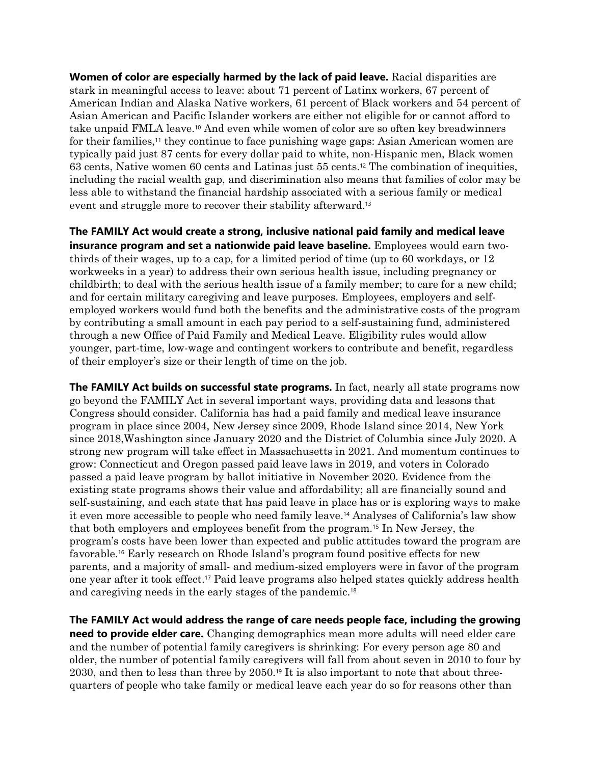**Women of color are especially harmed by the lack of paid leave.** Racial disparities are stark in meaningful access to leave: about 71 percent of Latinx workers, 67 percent of American Indian and Alaska Native workers, 61 percent of Black workers and 54 percent of Asian American and Pacific Islander workers are either not eligible for or cannot afford to take unpaid FMLA leave.<sup>10</sup> And even while women of color are so often key breadwinners for their families, <sup>11</sup> they continue to face punishing wage gaps: Asian American women are typically paid just 87 cents for every dollar paid to white, non-Hispanic men, Black women 63 cents, Native women 60 cents and Latinas just 55 cents.<sup>12</sup> The combination of inequities, including the racial wealth gap, and discrimination also means that families of color may be less able to withstand the financial hardship associated with a serious family or medical event and struggle more to recover their stability afterward.<sup>13</sup>

**The FAMILY Act would create a strong, inclusive national paid family and medical leave insurance program and set a nationwide paid leave baseline.** Employees would earn twothirds of their wages, up to a cap, for a limited period of time (up to 60 workdays, or 12 workweeks in a year) to address their own serious health issue, including pregnancy or childbirth; to deal with the serious health issue of a family member; to care for a new child; and for certain military caregiving and leave purposes. Employees, employers and selfemployed workers would fund both the benefits and the administrative costs of the program by contributing a small amount in each pay period to a self-sustaining fund, administered through a new Office of Paid Family and Medical Leave. Eligibility rules would allow younger, part-time, low-wage and contingent workers to contribute and benefit, regardless of their employer's size or their length of time on the job.

**The FAMILY Act builds on successful state programs.** In fact, nearly all state programs now go beyond the FAMILY Act in several important ways, providing data and lessons that Congress should consider. California has had a paid family and medical leave insurance program in place since 2004, New Jersey since 2009, Rhode Island since 2014, New York since 2018,Washington since January 2020 and the District of Columbia since July 2020. A strong new program will take effect in Massachusetts in 2021. And momentum continues to grow: Connecticut and Oregon passed paid leave laws in 2019, and voters in Colorado passed a paid leave program by ballot initiative in November 2020. Evidence from the existing state programs shows their value and affordability; all are financially sound and self-sustaining, and each state that has paid leave in place has or is exploring ways to make it even more accessible to people who need family leave. <sup>14</sup> Analyses of California's law show that both employers and employees benefit from the program.<sup>15</sup> In New Jersey, the program's costs have been lower than expected and public attitudes toward the program are favorable.<sup>16</sup> Early research on Rhode Island's program found positive effects for new parents, and a majority of small- and medium-sized employers were in favor of the program one year after it took effect. <sup>17</sup> Paid leave programs also helped states quickly address health and caregiving needs in the early stages of the pandemic.<sup>18</sup>

**The FAMILY Act would address the range of care needs people face, including the growing need to provide elder care.** Changing demographics mean more adults will need elder care and the number of potential family caregivers is shrinking: For every person age 80 and older, the number of potential family caregivers will fall from about seven in 2010 to four by 2030, and then to less than three by 2050.<sup>19</sup> It is also important to note that about threequarters of people who take family or medical leave each year do so for reasons other than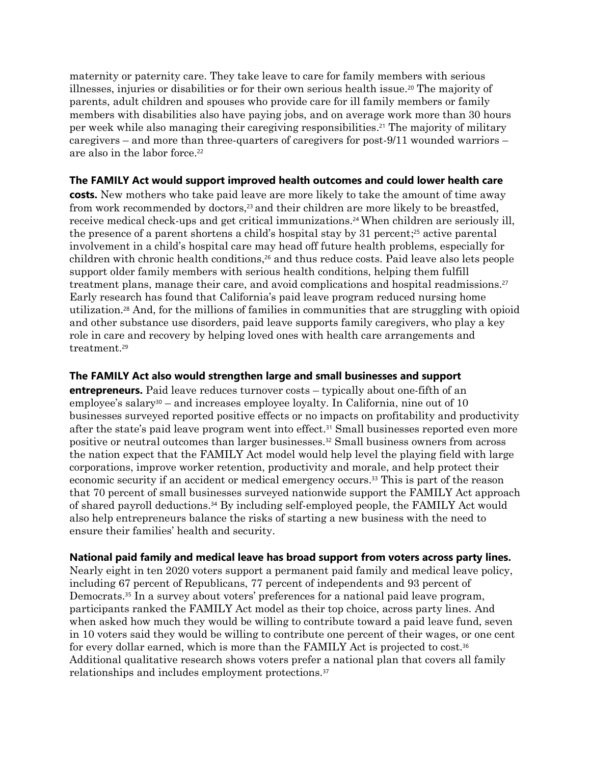maternity or paternity care. They take leave to care for family members with serious illnesses, injuries or disabilities or for their own serious health issue.<sup>20</sup> The majority of parents, adult children and spouses who provide care for ill family members or family members with disabilities also have paying jobs, and on average work more than 30 hours per week while also managing their caregiving responsibilities. <sup>21</sup> The majority of military caregivers – and more than three-quarters of caregivers for post-9/11 wounded warriors – are also in the labor force.<sup>22</sup>

# **The FAMILY Act would support improved health outcomes and could lower health care**

**costs.** New mothers who take paid leave are more likely to take the amount of time away from work recommended by doctors,<sup>23</sup> and their children are more likely to be breastfed, receive medical check-ups and get critical immunizations.<sup>24</sup> When children are seriously ill, the presence of a parent shortens a child's hospital stay by 31 percent; <sup>25</sup> active parental involvement in a child's hospital care may head off future health problems, especially for children with chronic health conditions, <sup>26</sup> and thus reduce costs. Paid leave also lets people support older family members with serious health conditions, helping them fulfill treatment plans, manage their care, and avoid complications and hospital readmissions.<sup>27</sup> Early research has found that California's paid leave program reduced nursing home utilization. <sup>28</sup> And, for the millions of families in communities that are struggling with opioid and other substance use disorders, paid leave supports family caregivers, who play a key role in care and recovery by helping loved ones with health care arrangements and treatment. 29

# **The FAMILY Act also would strengthen large and small businesses and support**

**entrepreneurs.** Paid leave reduces turnover costs – typically about one-fifth of an employee's salary<sup>30</sup> – and increases employee loyalty. In California, nine out of 10 businesses surveyed reported positive effects or no impacts on profitability and productivity after the state's paid leave program went into effect. <sup>31</sup> Small businesses reported even more positive or neutral outcomes than larger businesses.<sup>32</sup> Small business owners from across the nation expect that the FAMILY Act model would help level the playing field with large corporations, improve worker retention, productivity and morale, and help protect their economic security if an accident or medical emergency occurs. <sup>33</sup> This is part of the reason that 70 percent of small businesses surveyed nationwide support the FAMILY Act approach of shared payroll deductions.<sup>34</sup> By including self-employed people, the FAMILY Act would also help entrepreneurs balance the risks of starting a new business with the need to ensure their families' health and security.

## **National paid family and medical leave has broad support from voters across party lines.**

Nearly eight in ten 2020 voters support a permanent paid family and medical leave policy, including 67 percent of Republicans, 77 percent of independents and 93 percent of Democrats.<sup>35</sup> In a survey about voters' preferences for a national paid leave program, participants ranked the FAMILY Act model as their top choice, across party lines. And when asked how much they would be willing to contribute toward a paid leave fund, seven in 10 voters said they would be willing to contribute one percent of their wages, or one cent for every dollar earned, which is more than the FAMILY Act is projected to cost.<sup>36</sup> Additional qualitative research shows voters prefer a national plan that covers all family relationships and includes employment protections.37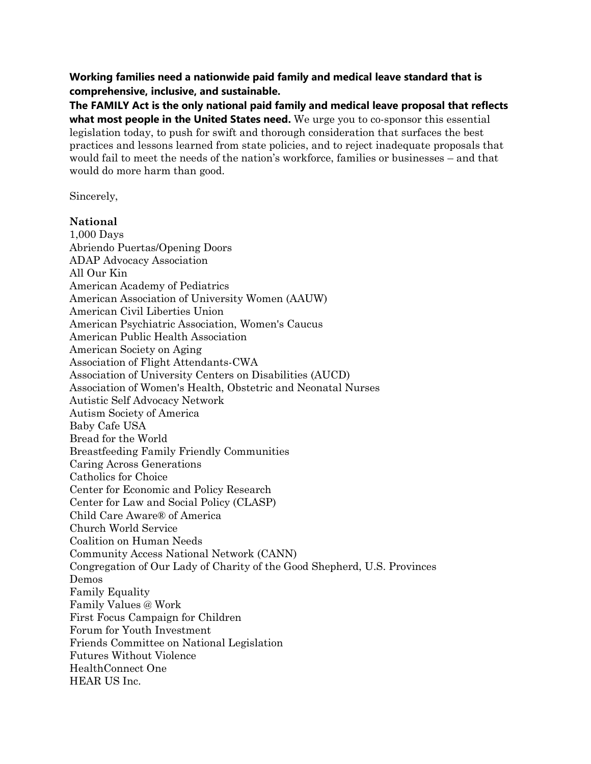**Working families need a nationwide paid family and medical leave standard that is comprehensive, inclusive, and sustainable.** 

**The FAMILY Act is the only national paid family and medical leave proposal that reflects what most people in the United States need.** We urge you to co-sponsor this essential legislation today, to push for swift and thorough consideration that surfaces the best practices and lessons learned from state policies, and to reject inadequate proposals that would fail to meet the needs of the nation's workforce, families or businesses – and that would do more harm than good.

Sincerely,

## **National**

1,000 Days Abriendo Puertas/Opening Doors ADAP Advocacy Association All Our Kin American Academy of Pediatrics American Association of University Women (AAUW) American Civil Liberties Union American Psychiatric Association, Women's Caucus American Public Health Association American Society on Aging Association of Flight Attendants-CWA Association of University Centers on Disabilities (AUCD) Association of Women's Health, Obstetric and Neonatal Nurses Autistic Self Advocacy Network Autism Society of America Baby Cafe USA Bread for the World Breastfeeding Family Friendly Communities Caring Across Generations Catholics for Choice Center for Economic and Policy Research Center for Law and Social Policy (CLASP) Child Care Aware® of America Church World Service Coalition on Human Needs Community Access National Network (CANN) Congregation of Our Lady of Charity of the Good Shepherd, U.S. Provinces Demos Family Equality Family Values @ Work First Focus Campaign for Children Forum for Youth Investment Friends Committee on National Legislation Futures Without Violence HealthConnect One HEAR US Inc.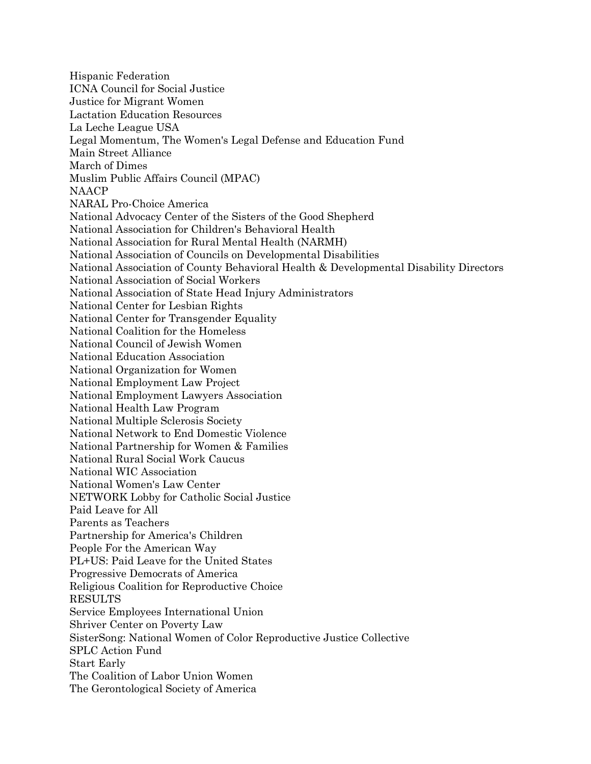Hispanic Federation ICNA Council for Social Justice Justice for Migrant Women Lactation Education Resources La Leche League USA Legal Momentum, The Women's Legal Defense and Education Fund Main Street Alliance March of Dimes Muslim Public Affairs Council (MPAC) NAACP NARAL Pro-Choice America National Advocacy Center of the Sisters of the Good Shepherd National Association for Children's Behavioral Health National Association for Rural Mental Health (NARMH) National Association of Councils on Developmental Disabilities National Association of County Behavioral Health & Developmental Disability Directors National Association of Social Workers National Association of State Head Injury Administrators National Center for Lesbian Rights National Center for Transgender Equality National Coalition for the Homeless National Council of Jewish Women National Education Association National Organization for Women National Employment Law Project National Employment Lawyers Association National Health Law Program National Multiple Sclerosis Society National Network to End Domestic Violence National Partnership for Women & Families National Rural Social Work Caucus National WIC Association National Women's Law Center NETWORK Lobby for Catholic Social Justice Paid Leave for All Parents as Teachers Partnership for America's Children People For the American Way PL+US: Paid Leave for the United States Progressive Democrats of America Religious Coalition for Reproductive Choice RESULTS Service Employees International Union Shriver Center on Poverty Law SisterSong: National Women of Color Reproductive Justice Collective SPLC Action Fund Start Early The Coalition of Labor Union Women The Gerontological Society of America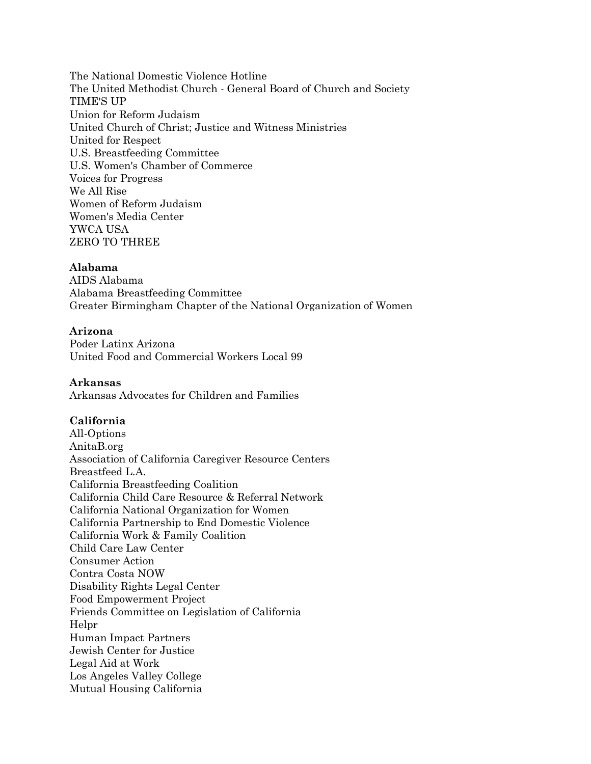The National Domestic Violence Hotline The United Methodist Church - General Board of Church and Society TIME'S UP Union for Reform Judaism United Church of Christ; Justice and Witness Ministries United for Respect U.S. Breastfeeding Committee U.S. Women's Chamber of Commerce Voices for Progress We All Rise Women of Reform Judaism Women's Media Center YWCA USA ZERO TO THREE

## **Alabama**

AIDS Alabama Alabama Breastfeeding Committee Greater Birmingham Chapter of the National Organization of Women

## **Arizona**

Poder Latinx Arizona United Food and Commercial Workers Local 99

### **Arkansas**

Arkansas Advocates for Children and Families

## **California**

All-Options AnitaB.org Association of California Caregiver Resource Centers Breastfeed L.A. California Breastfeeding Coalition California Child Care Resource & Referral Network California National Organization for Women California Partnership to End Domestic Violence California Work & Family Coalition Child Care Law Center Consumer Action Contra Costa NOW Disability Rights Legal Center Food Empowerment Project Friends Committee on Legislation of California Helpr Human Impact Partners Jewish Center for Justice Legal Aid at Work Los Angeles Valley College Mutual Housing California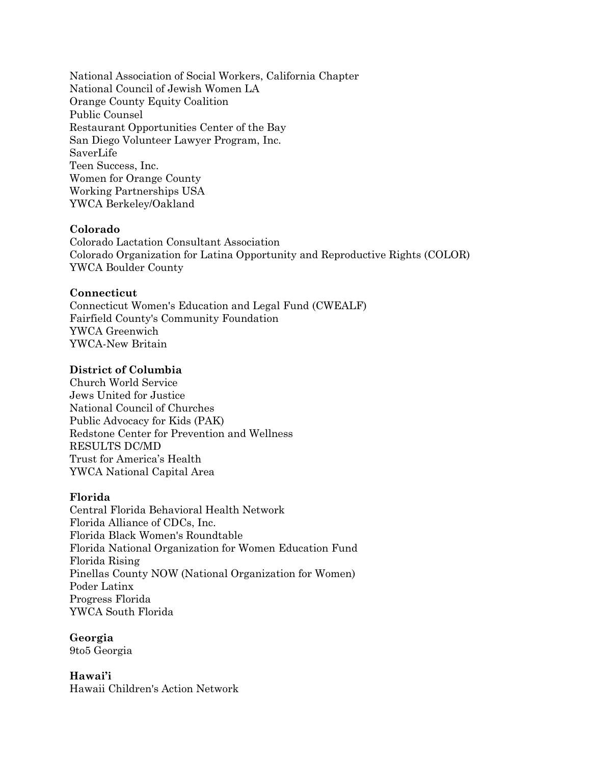National Association of Social Workers, California Chapter National Council of Jewish Women LA Orange County Equity Coalition Public Counsel Restaurant Opportunities Center of the Bay San Diego Volunteer Lawyer Program, Inc. SaverLife Teen Success, Inc. Women for Orange County Working Partnerships USA YWCA Berkeley/Oakland

## **Colorado**

Colorado Lactation Consultant Association Colorado Organization for Latina Opportunity and Reproductive Rights (COLOR) YWCA Boulder County

## **Connecticut**

Connecticut Women's Education and Legal Fund (CWEALF) Fairfield County's Community Foundation YWCA Greenwich YWCA-New Britain

## **District of Columbia**

Church World Service Jews United for Justice National Council of Churches Public Advocacy for Kids (PAK) Redstone Center for Prevention and Wellness RESULTS DC/MD Trust for America's Health YWCA National Capital Area

### **Florida**

Central Florida Behavioral Health Network Florida Alliance of CDCs, Inc. Florida Black Women's Roundtable Florida National Organization for Women Education Fund Florida Rising Pinellas County NOW (National Organization for Women) Poder Latinx Progress Florida YWCA South Florida

**Georgia** 9to5 Georgia

**Hawai'i** Hawaii Children's Action Network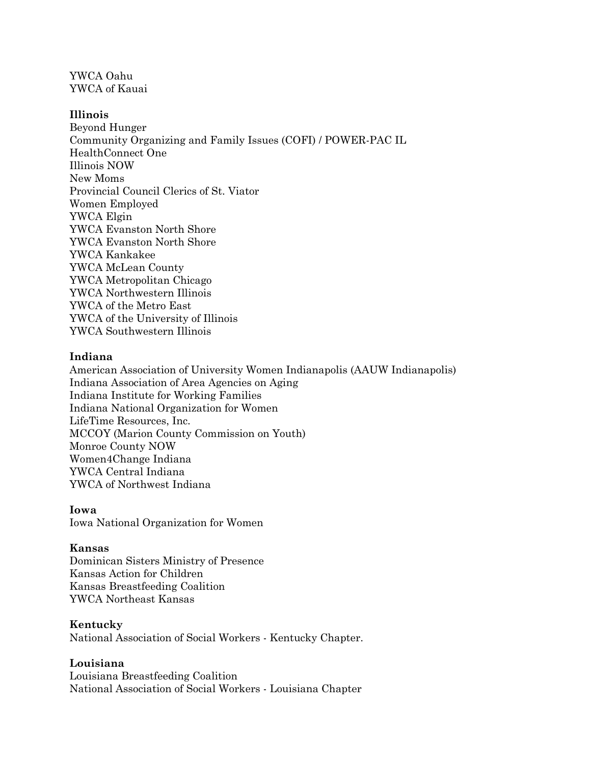YWCA Oahu YWCA of Kauai

## **Illinois**

Beyond Hunger Community Organizing and Family Issues (COFI) / POWER-PAC IL HealthConnect One Illinois NOW New Moms Provincial Council Clerics of St. Viator Women Employed YWCA Elgin YWCA Evanston North Shore YWCA Evanston North Shore YWCA Kankakee YWCA McLean County YWCA Metropolitan Chicago YWCA Northwestern Illinois YWCA of the Metro East YWCA of the University of Illinois YWCA Southwestern Illinois

## **Indiana**

American Association of University Women Indianapolis (AAUW Indianapolis) Indiana Association of Area Agencies on Aging Indiana Institute for Working Families Indiana National Organization for Women LifeTime Resources, Inc. MCCOY (Marion County Commission on Youth) Monroe County NOW Women4Change Indiana YWCA Central Indiana YWCA of Northwest Indiana

## **Iowa**

Iowa National Organization for Women

### **Kansas**

Dominican Sisters Ministry of Presence Kansas Action for Children Kansas Breastfeeding Coalition YWCA Northeast Kansas

### **Kentucky**

National Association of Social Workers - Kentucky Chapter.

## **Louisiana**

Louisiana Breastfeeding Coalition National Association of Social Workers - Louisiana Chapter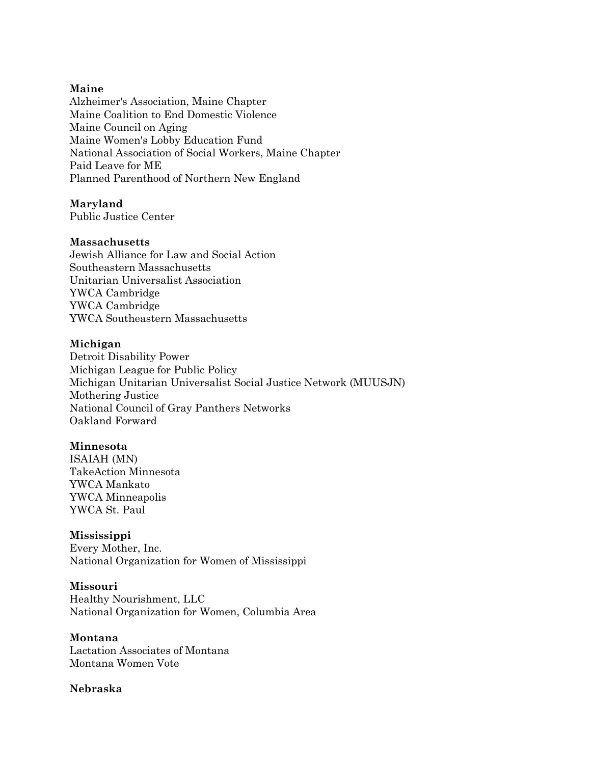## **Maine**

Alzheimer's Association, Maine Chapter Maine Coalition to End Domestic Violence Maine Council on Aging Maine Women's Lobby Education Fund National Association of Social Workers, Maine Chapter Paid Leave for ME Planned Parenthood of Northern New England

# **Maryland**

Public Justice Center

## **Massachusetts**

Jewish Alliance for Law and Social Action Southeastern Massachusetts Unitarian Universalist Association YWCA Cambridge YWCA Cambridge YWCA Southeastern Massachusetts

## **Michigan**

Detroit Disability Power Michigan League for Public Policy Michigan Unitarian Universalist Social Justice Network (MUUSJN) Mothering Justice National Council of Gray Panthers Networks Oakland Forward

## **Minnesota**

ISAIAH (MN) TakeAction Minnesota YWCA Mankato YWCA Minneapolis YWCA St. Paul

### **Mississippi**

Every Mother, Inc. National Organization for Women of Mississippi

### **Missouri** Healthy Nourishment, LLC National Organization for Women, Columbia Area

### **Montana**

Lactation Associates of Montana Montana Women Vote

## **Nebraska**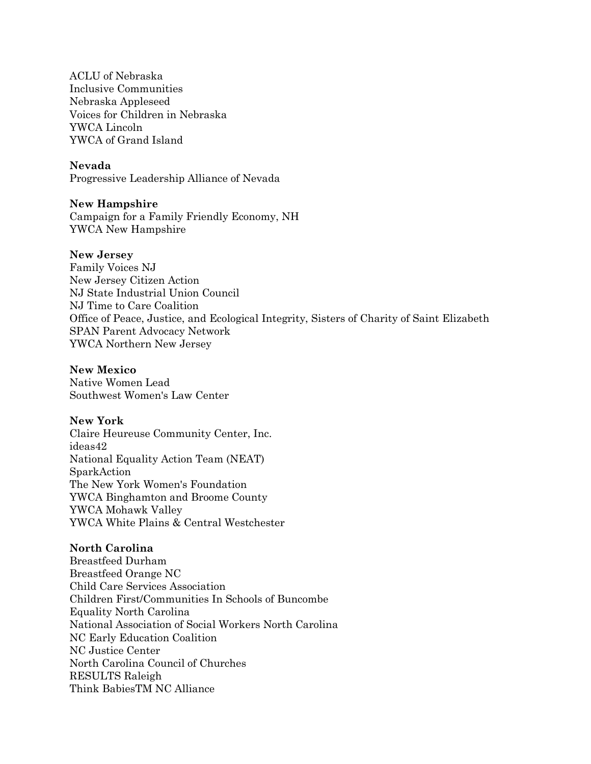ACLU of Nebraska Inclusive Communities Nebraska Appleseed Voices for Children in Nebraska YWCA Lincoln YWCA of Grand Island

## **Nevada**

Progressive Leadership Alliance of Nevada

### **New Hampshire**

Campaign for a Family Friendly Economy, NH YWCA New Hampshire

### **New Jersey**

Family Voices NJ New Jersey Citizen Action NJ State Industrial Union Council NJ Time to Care Coalition Office of Peace, Justice, and Ecological Integrity, Sisters of Charity of Saint Elizabeth SPAN Parent Advocacy Network YWCA Northern New Jersey

### **New Mexico**

Native Women Lead Southwest Women's Law Center

## **New York**

Claire Heureuse Community Center, Inc. ideas42 National Equality Action Team (NEAT) SparkAction The New York Women's Foundation YWCA Binghamton and Broome County YWCA Mohawk Valley YWCA White Plains & Central Westchester

## **North Carolina**

Breastfeed Durham Breastfeed Orange NC Child Care Services Association Children First/Communities In Schools of Buncombe Equality North Carolina National Association of Social Workers North Carolina NC Early Education Coalition NC Justice Center North Carolina Council of Churches RESULTS Raleigh Think BabiesTM NC Alliance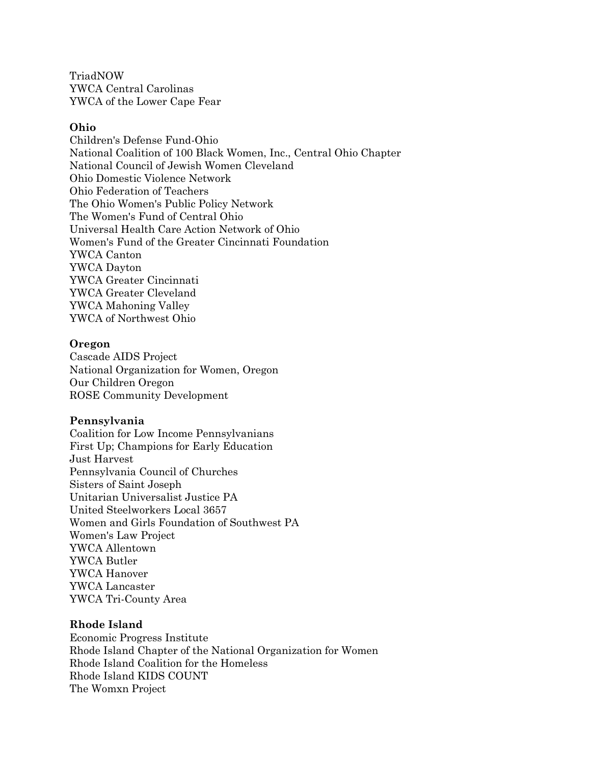TriadNOW YWCA Central Carolinas YWCA of the Lower Cape Fear

### **Ohio**

Children's Defense Fund-Ohio National Coalition of 100 Black Women, Inc., Central Ohio Chapter National Council of Jewish Women Cleveland Ohio Domestic Violence Network Ohio Federation of Teachers The Ohio Women's Public Policy Network The Women's Fund of Central Ohio Universal Health Care Action Network of Ohio Women's Fund of the Greater Cincinnati Foundation YWCA Canton YWCA Dayton YWCA Greater Cincinnati YWCA Greater Cleveland YWCA Mahoning Valley YWCA of Northwest Ohio

### **Oregon**

Cascade AIDS Project National Organization for Women, Oregon Our Children Oregon ROSE Community Development

#### **Pennsylvania**

Coalition for Low Income Pennsylvanians First Up; Champions for Early Education Just Harvest Pennsylvania Council of Churches Sisters of Saint Joseph Unitarian Universalist Justice PA United Steelworkers Local 3657 Women and Girls Foundation of Southwest PA Women's Law Project YWCA Allentown YWCA Butler YWCA Hanover YWCA Lancaster YWCA Tri-County Area

#### **Rhode Island**

Economic Progress Institute Rhode Island Chapter of the National Organization for Women Rhode Island Coalition for the Homeless Rhode Island KIDS COUNT The Womxn Project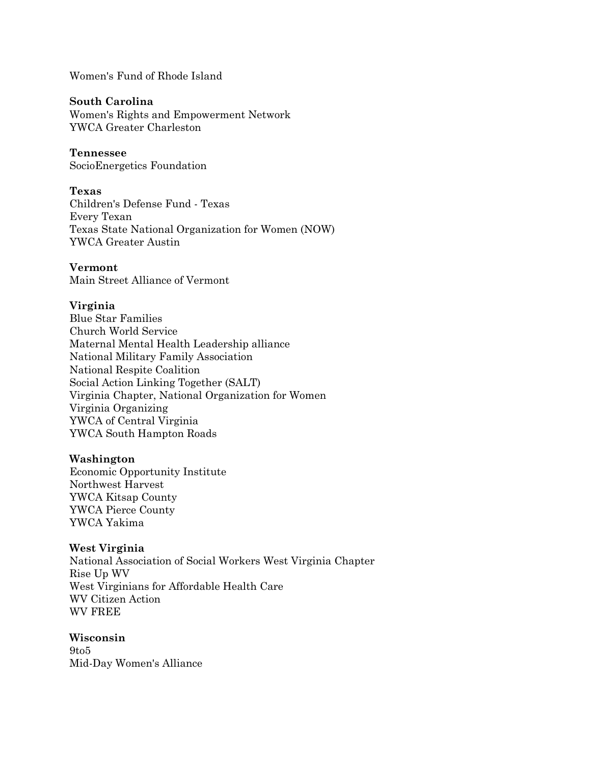Women's Fund of Rhode Island

#### **South Carolina**

Women's Rights and Empowerment Network YWCA Greater Charleston

#### **Tennessee**

SocioEnergetics Foundation

### **Texas**

Children's Defense Fund - Texas Every Texan Texas State National Organization for Women (NOW) YWCA Greater Austin

## **Vermont**

Main Street Alliance of Vermont

## **Virginia**

Blue Star Families Church World Service Maternal Mental Health Leadership alliance National Military Family Association National Respite Coalition Social Action Linking Together (SALT) Virginia Chapter, National Organization for Women Virginia Organizing YWCA of Central Virginia YWCA South Hampton Roads

### **Washington**

Economic Opportunity Institute Northwest Harvest YWCA Kitsap County YWCA Pierce County YWCA Yakima

### **West Virginia**

National Association of Social Workers West Virginia Chapter Rise Up WV West Virginians for Affordable Health Care WV Citizen Action WV FREE

## **Wisconsin** 9to5 Mid-Day Women's Alliance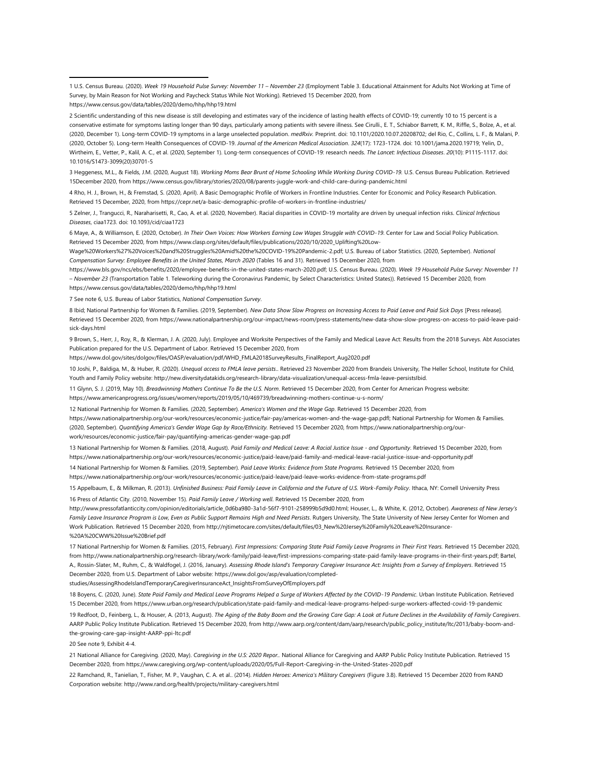1 U.S. Census Bureau. (2020). *Week 19 Household Pulse Survey: November 11 – November 23* (Employment Table 3. Educational Attainment for Adults Not Working at Time of Survey, by Main Reason for Not Working and Paycheck Status While Not Working). Retrieved 15 December 2020, from https://www.census.gov/data/tables/2020/demo/hhp/hhp19.html

2 Scientific understanding of this new disease is still developing and estimates vary of the incidence of lasting health effects of COVID-19; currently 10 to 15 percent is a conservative estimate for symptoms lasting longer than 90 days, particularly among patients with severe illness. See Cirulli., E. T., Schiabor Barrett, K. M., Riffle, S., Bolze, A., et al. (2020, December 1). Long-term COVID-19 symptoms in a large unselected population. *medRxiv.* Preprint. doi: 10.1101/2020.10.07.20208702; del Rio, C., Collins, L. F., & Malani, P. (2020, October 5). Long-term Health Consequences of COVID-19. *Journal of the American Medical Association*. *324*(17): 1723-1724. doi: 10.1001/jama.2020.19719; Yelin, D., Wirtheim, E., Vetter, P., Kalil, A. C., et al. (2020, September 1). Long-term consequences of COVID-19: research needs. *The Lancet: Infectious Diseases*. *20*(10): P1115-1117. doi: 10.1016/S1473-3099(20)30701-5

3 Heggeness, M.L., & Fields, J.M. (2020, August 18). *Working Moms Bear Brunt of Home Schooling While Working During COVID-19.* U.S. Census Bureau Publication. Retrieved 15December 2020, from https://www.census.gov/library/stories/2020/08/parents-juggle-work-and-child-care-during-pandemic.html

4 Rho, H. J., Brown, H., & Fremstad, S. (2020, April). A Basic Demographic Profile of Workers in Frontline Industries. Center for Economic and Policy Research Publication. Retrieved 15 December, 2020, from https://cepr.net/a-basic-demographic-profile-of-workers-in-frontline-industries/

5 Zelner, J., Trangucci, R., Naraharisetti, R., Cao, A. et al. (2020, November). Racial disparities in COVID-19 mortality are driven by unequal infection risks. *Clinical Infectious Diseases*, ciaa1723. doi: 10.1093/cid/ciaa1723

6 Maye, A., & Williamson, E. (2020, October). *In Their Own Voices: How Workers Earning Low Wages Struggle with COVID-19*. Center for Law and Social Policy Publication. Retrieved 15 December 2020, from https://www.clasp.org/sites/default/files/publications/2020/10/2020\_Uplifting%20Low-

Wage%20Workers%27%20Voices%20and%20Struggles%20Amid%20the%20COVID-19%20Pandemic-2.pdf; U.S. Bureau of Labor Statistics. (2020, September). *National Compensation Survey: Employee Benefits in the United States, March 2020* (Tables 16 and 31). Retrieved 15 December 2020, from

https://www.bls.gov/ncs/ebs/benefits/2020/employee-benefits-in-the-united-states-march-2020.pdf; U.S. Census Bureau. (2020). *Week 19 Household Pulse Survey: November 11 – November 23* (Transportation Table 1. Teleworking during the Coronavirus Pandemic, by Select Characteristics: United States)). Retrieved 15 December 2020, from https://www.census.gov/data/tables/2020/demo/hhp/hhp19.html

7 See note 6, U.S. Bureau of Labor Statistics, *National Compensation Survey*.

8 Ibid; National Partnership for Women & Families. (2019, September). *New Data Show Slow Progress on Increasing Access to Paid Leave and Paid Sick Days* [Press release]. Retrieved 15 December 2020, from https://www.nationalpartnership.org/our-impact/news-room/press-statements/new-data-show-slow-progress-on-access-to-paid-leave-paidsick-days.html

9 Brown, S., Herr, J., Roy, R., & Klerman, J. A. (2020, July). Employee and Worksite Perspectives of the Family and Medical Leave Act: Results from the 2018 Surveys. Abt Associates Publication prepared for the U.S. Department of Labor. Retrieved 15 December 2020, from

https://www.dol.gov/sites/dolgov/files/OASP/evaluation/pdf/WHD\_FMLA2018SurveyResults\_FinalReport\_Aug2020.pdf

10 Joshi, P., Baldiga, M., & Huber, R. (2020). *Unequal access to FMLA leave persists*.. Retrieved 23 November 2020 from Brandeis University, The Heller School, Institute for Child, Youth and Family Policy website: http://new.diversitydatakids.org/research-library/data-visualization/unequal-access-fmla-leave-persistsIbid.

11 Glynn, S. J. (2019, May 10). *Breadwinning Mothers Continue To Be the U.S. Norm*. Retrieved 15 December 2020, from Center for American Progress website: <https://www.americanprogress.org/issues/women/reports/2019/05/10/469739/breadwinning-mothers-continue-u-s-norm/>

12 National Partnership for Women & Families. (2020, September). *America's Women and the Wage Gap*. Retrieved 15 December 2020, from [https://www.nationalpartnership.org/our-work/resources/economic-justice/fair-pay/americas-women-and-the-wage-gap.pdfl;](https://www.nationalpartnership.org/our-work/resources/economic-justice/fair-pay/americas-women-and-the-wage-gap.pdf) National Partnership for Women & Families. (2020, September). *Quantifying America's Gender Wage Gap by Race/Ethnicity.* Retrieved 15 December 2020, from https://www.nationalpartnership.org/ourwork/resources/economic-justice/fair-pay/quantifying-americas-gender-wage-gap.pdf

13 National Partnership for Women & Families. (2018, August). *Paid Family and Medical Leave: A Racial Justice Issue - and Opportunity*. Retrieved 15 December 2020, from https://www.nationalpartnership.org/our-work/resources/economic-justice/paid-leave/paid-family-and-medical-leave-racial-justice-issue-and-opportunity.pdf

14 National Partnership for Women & Families. (2019, September). *Paid Leave Works: Evidence from State Programs.* Retrieved 15 December 2020, from https://www.nationalpartnership.org/our-work/resources/economic-justice/paid-leave/paid-leave-works-evidence-from-state-programs.pdf

15 Appelbaum, E., & Milkman, R. (2013). *Unfinished Business: Paid Family Leave in California and the Future of U.S. Work-Family Policy*. Ithaca, NY: Cornell University Press 16 Press of Atlantic City. (2010, November 15). *Paid Family Leave / Working well*. Retrieved 15 December 2020, from

http://www.pressofatlanticcity.com/opinion/editorials/article\_0d6ba980-3a1d-56f7-9101-258999b5d9d0.html; Houser, L., & White, K. (2012, October). *Awareness of New Jersey's*  Family Leave Insurance Program is Low, Even as Public Support Remains High and Need Persists. Rutgers University, The State University of New Jersey Center for Women and Work Publication. Retrieved 15 December 2020, from http://njtimetocare.com/sites/default/files/03\_New%20Jersey%20Family%20Leave%20Insurance- %20A%20CWW%20Issue%20Brief.pdf

17 National Partnership for Women & Families. (2015, February). *First Impressions: Comparing State Paid Family Leave Programs in Their First Years.* Retrieved 15 December 2020, from http://www.nationalpartnership.org/research-library/work-family/paid-leave/first-impressions-comparing-state-paid-family-leave-programs-in-their-first-years.pdf; Bartel, A., Rossin-Slater, M., Ruhm, C., & Waldfogel, J. (2016, January). *Assessing Rhode Island's Temporary Caregiver Insurance Act: Insights from a Survey of Employers*. Retrieved 15 December 2020, from U.S. Department of Labor website: https://www.dol.gov/asp/evaluation/completedstudies/AssessingRhodeIslandTemporaryCaregiverInsuranceAct\_InsightsFromSurveyOfEmployers.pdf

18 Boyens, C. (2020, June). *State Paid Family and Medical Leave Programs Helped a Surge of Workers Affected by the COVID-19 Pandemic*. Urban Institute Publication. Retrieved 15 December 2020, from https://www.urban.org/research/publication/state-paid-family-and-medical-leave-programs-helped-surge-workers-affected-covid-19-pandemic

19 Redfoot, D., Feinberg, L., & Houser, A. (2013, August). *The Aging of the Baby Boom and the Growing Care Gap: A Look at Future Declines in the Availability of Family Caregivers*. AARP Public Policy Institute Publication. Retrieved 15 December 2020, from http://www.aarp.org/content/dam/aarp/research/public\_policy\_institute/ltc/2013/baby-boom-andthe-growing-care-gap-insight-AARP-ppi-ltc.pdf

20 See note 9, Exhibit 4-4.

21 National Alliance for Caregiving. (2020, May). *Caregiving in the U.S: 2020 Repor..* National Alliance for Caregiving and AARP Public Policy Institute Publication. Retrieved 15 December 2020, from https://www.caregiving.org/wp-content/uploads/2020/05/Full-Report-Caregiving-in-the-United-States-2020.pdf

22 Ramchand, R., Tanielian, T., Fisher, M. P., Vaughan, C. A. et al.. (2014). *Hidden Heroes: America's Military Caregivers* (Figure 3.8). Retrieved 15 December 2020 from RAND Corporation website: http://www.rand.org/health/projects/military-caregivers.html